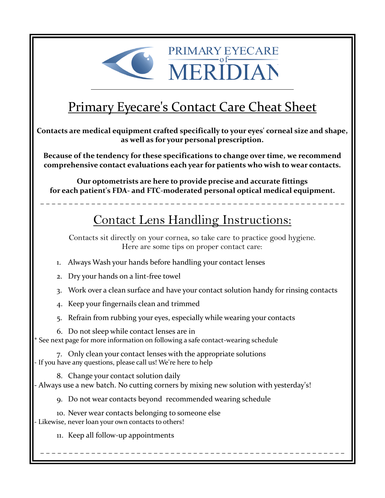

# Primary Eyecare's Contact Care Cheat Sheet

MERIDIA

**Contacts are medical equipment crafted specifically to your eyes' corneal size and shape, as well as for your personal prescription.**

**Because of the tendency for these specifications to change over time, we recommend comprehensive contact evaluations each year for patients who wish to wear contacts.**

**Our optometrists are here to provide precise and accurate fittings for each patient's FDA- and FTC-moderated personal optical medical equipment.**

– – – – – – – – – – – – – – – – – – – – – – – – – – – – – – – – – – – – – – – – – – – – – – – – – – – – – –

## Contact Lens Handling Instructions:

Contacts sit directly on your cornea, so take care to practice good hygiene. Here are some tips on proper contact care:

1. Always Wash your hands before handling your contact lenses

- 2. Dry your hands on a lint-free towel
- 3. Work over a clean surface and have your contact solution handy for rinsing contacts

– – – – – – – – – – – – – – – – – – – – – – – – – – – – – – – – – – – – – – – – – – – – – – – – – – – – – –

- 4. Keep your fingernails clean and trimmed
- 5. Refrain from rubbing your eyes, especially while wearing your contacts
- 6. Do not sleep while contact lenses are in

\* See next page for more information on following a safe contact-wearing schedule

7. Only clean your contact lenses with the appropriate solutions - If you have any questions, please call us! We're here to help

8. Change your contact solution daily

- Always use a new batch. No cutting corners by mixing new solution with yesterday's!

9. Do not wear contacts beyond recommended wearing schedule

- 10. Never wear contacts belonging to someone else
- Likewise, never loan your own contacts to others!
	- 11. Keep all follow-up appointments